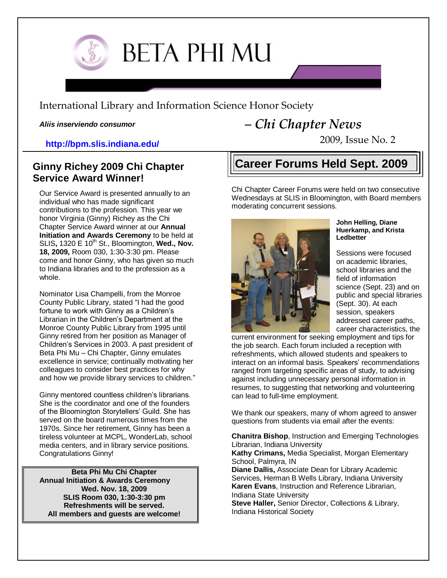

# **BETA PHI MU**

International Library and Information Science Honor Society

*Aliis inserviendo consumor*

# **http://bpm.slis.indiana.edu/**

# **Ginny Richey 2009 Chi Chapter Service Award Winner!**

Our Service Award is presented annually to an individual who has made significant contributions to the profession. This year we honor Virginia (Ginny) Richey as the Chi Chapter Service Award winner at our **Annual Initiation and Awards Ceremony** to be held at SLIS, 1320 E 10<sup>th</sup> St., Bloomington, Wed., Nov. **18, 2009,** Room 030, 1:30-3:30 pm. Please come and honor Ginny, who has given so much to Indiana libraries and to the profession as a whole.

Nominator Lisa Champelli, from the Monroe County Public Library, stated "I had the good fortune to work with Ginny as a Children's Librarian in the Children's Department at the Monroe County Public Library from 1995 until Ginny retired from her position as Manager of Children's Services in 2003. A past president of Beta Phi Mu – Chi Chapter, Ginny emulates excellence in service; continually motivating her colleagues to consider best practices for why and how we provide library services to children."

Ginny mentored countless children's librarians. She is the coordinator and one of the founders of the Bloomington Storytellers' Guild. She has served on the board numerous times from the 1970s. Since her retirement, Ginny has been a tireless volunteer at MCPL, WonderLab, school media centers, and in library service positions. Congratulations Ginny!

**Beta Phi Mu Chi Chapter Annual Initiation & Awards Ceremony Wed. Nov. 18, 2009 SLIS Room 030, 1:30-3:30 pm Refreshments will be served. All members and guests are welcome!**

# *– Chi Chapter News*

2009, Issue No. 2

# **Career Forums Held Sept. 2009**

Chi Chapter Career Forums were held on two consecutive Wednesdays at SLIS in Bloomington, with Board members moderating concurrent sessions.



#### **John Helling, Diane Huerkamp, and Krista Ledbetter**

Sessions were focused on academic libraries, school libraries and the field of information science (Sept. 23) and on public and special libraries (Sept. 30). At each session, speakers addressed career paths, career characteristics, the

current environment for seeking employment and tips for the job search. Each forum included a reception with refreshments, which allowed students and speakers to interact on an informal basis. Speakers' recommendations ranged from targeting specific areas of study, to advising against including unnecessary personal information in resumes, to suggesting that networking and volunteering can lead to full-time employment.

We thank our speakers, many of whom agreed to answer questions from students via email after the events:

**Chanitra Bishop**, Instruction and Emerging Technologies Librarian, Indiana University

**Kathy Crimans,** Media Specialist, Morgan Elementary School, Palmyra, IN

**Diane Dallis,** Associate Dean for Library Academic Services, Herman B Wells Library, Indiana University **Karen Evans**, Instruction and Reference Librarian, Indiana State University

**Steve Haller,** Senior Director, Collections & Library, Indiana Historical Society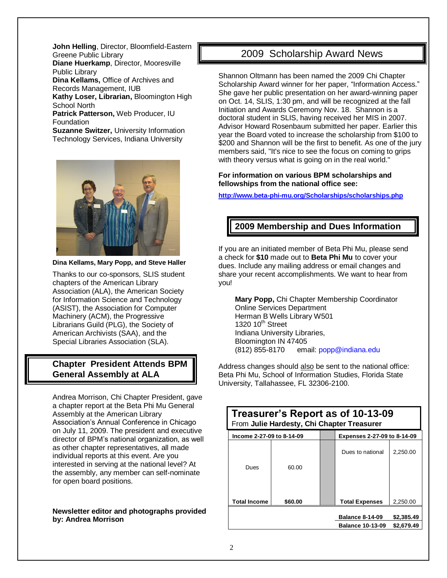**John Helling**, Director, Bloomfield-Eastern Greene Public Library **Diane Huerkamp**, Director, Mooresville Public Library **Dina Kellams,** Office of Archives and Records Management, IUB **Kathy Loser, Librarian,** Bloomington High School North **Patrick Patterson,** Web Producer, IU Foundation **Suzanne Switzer,** University Information Technology Services, Indiana University



**Dina Kellams, Mary Popp, and Steve Haller**

Thanks to our co-sponsors, SLIS student chapters of the American Library Association (ALA), the American Society for Information Science and Technology (ASIST), the Association for Computer Machinery (ACM), the Progressive Librarians Guild (PLG), the Society of American Archivists (SAA), and the Special Libraries Association (SLA).

#### **Chapter President Attends BPM General Assembly at ALA**

Andrea Morrison, Chi Chapter President, gave a chapter report at the Beta Phi Mu General Assembly at the American Library Association's Annual Conference in Chicago on July 11, 2009. The president and executive director of BPM's national organization, as well as other chapter representatives, all made individual reports at this event. Are you interested in serving at the national level? At the assembly, any member can self-nominate for open board positions.

#### **Newsletter editor and photographs provided by: Andrea Morrison**

### 2009 Scholarship Award News

Shannon Oltmann has been named the 2009 Chi Chapter Scholarship Award winner for her paper, "Information Access." She gave her public presentation on her award-winning paper on Oct. 14, SLIS, 1:30 pm, and will be recognized at the fall Initiation and Awards Ceremony Nov. 18. Shannon is a doctoral student in SLIS, having received her MIS in 2007. Advisor Howard Rosenbaum submitted her paper. Earlier this year the Board voted to increase the scholarship from \$100 to \$200 and Shannon will be the first to benefit. As one of the jury members said, "It's nice to see the focus on coming to grips with theory versus what is going on in the real world."

#### **For information on various BPM scholarships and fellowships from the national office see:**

**<http://www.beta-phi-mu.org/Scholarships/scholarships.php>**

#### **2009 Membership and Dues Information**

If you are an initiated member of Beta Phi Mu, please send a check for **\$10** made out to **Beta Phi Mu** to cover your dues. Include any mailing address or email changes and share your recent accomplishments. We want to hear from you!

**Mary Popp,** Chi Chapter Membership Coordinator Online Services Department Herman B Wells Library W501 1320  $10^{th}$  Street Indiana University Libraries, Bloomington IN 47405 (812) 855-8170 email: popp@indiana.edu

Address changes should also be sent to the national office: Beta Phi Mu, School of Information Studies, Florida State University, Tallahassee, FL 32306-2100.

| Treasurer's Report as of 10-13-09<br>From Julie Hardesty, Chi Chapter Treasurer |         |  |                                                 |                        |
|---------------------------------------------------------------------------------|---------|--|-------------------------------------------------|------------------------|
| lncome 2-27-09 to 8-14-09                                                       |         |  | Expenses 2-27-09 to 8-14-09                     |                        |
| Dues                                                                            | 60.00   |  | Dues to national                                | 2,250.00               |
| <b>Total Income</b>                                                             | \$60.00 |  | <b>Total Expenses</b><br><b>Balance 8-14-09</b> | 2.250.00<br>\$2,385.49 |
|                                                                                 |         |  | <b>Balance 10-13-09</b>                         | \$2,679.49             |